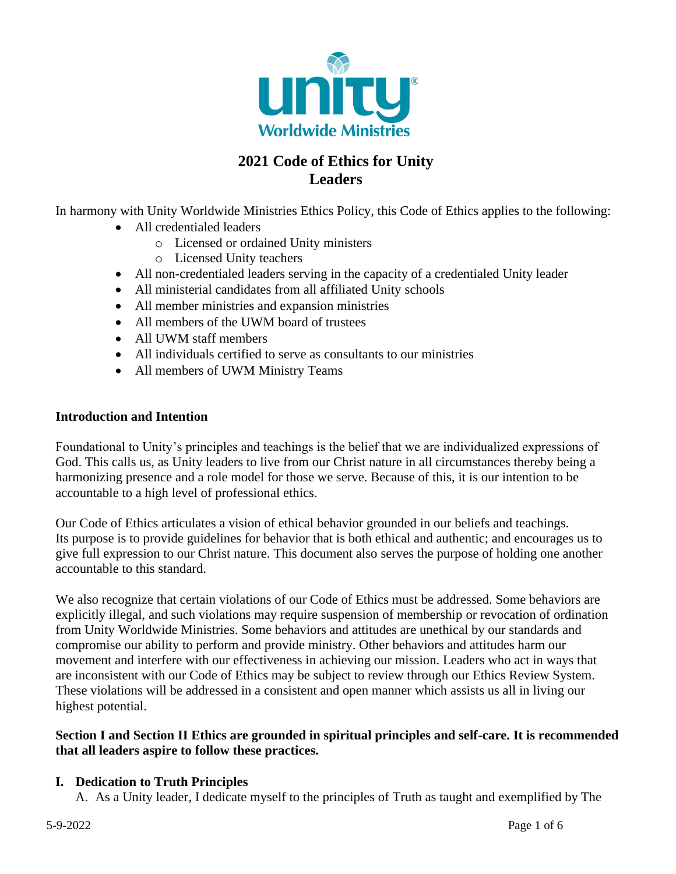

# **2021 Code of Ethics for Unity Leaders**

In harmony with Unity Worldwide Ministries Ethics Policy, this Code of Ethics applies to the following:

- All credentialed leaders
	- o Licensed or ordained Unity ministers
	- o Licensed Unity teachers
- All non-credentialed leaders serving in the capacity of a credentialed Unity leader
- All ministerial candidates from all affiliated Unity schools
- All member ministries and expansion ministries
- All members of the UWM board of trustees
- All UWM staff members
- All individuals certified to serve as consultants to our ministries
- All members of UWM Ministry Teams

#### **Introduction and Intention**

Foundational to Unity's principles and teachings is the belief that we are individualized expressions of God. This calls us, as Unity leaders to live from our Christ nature in all circumstances thereby being a harmonizing presence and a role model for those we serve. Because of this, it is our intention to be accountable to a high level of professional ethics.

Our Code of Ethics articulates a vision of ethical behavior grounded in our beliefs and teachings. Its purpose is to provide guidelines for behavior that is both ethical and authentic; and encourages us to give full expression to our Christ nature. This document also serves the purpose of holding one another accountable to this standard.

We also recognize that certain violations of our Code of Ethics must be addressed. Some behaviors are explicitly illegal, and such violations may require suspension of membership or revocation of ordination from Unity Worldwide Ministries. Some behaviors and attitudes are unethical by our standards and compromise our ability to perform and provide ministry. Other behaviors and attitudes harm our movement and interfere with our effectiveness in achieving our mission. Leaders who act in ways that are inconsistent with our Code of Ethics may be subject to review through our Ethics Review System. These violations will be addressed in a consistent and open manner which assists us all in living our highest potential.

#### **Section I and Section II Ethics are grounded in spiritual principles and self-care. It is recommended that all leaders aspire to follow these practices.**

#### **I. Dedication to Truth Principles**

A. As a Unity leader, I dedicate myself to the principles of Truth as taught and exemplified by The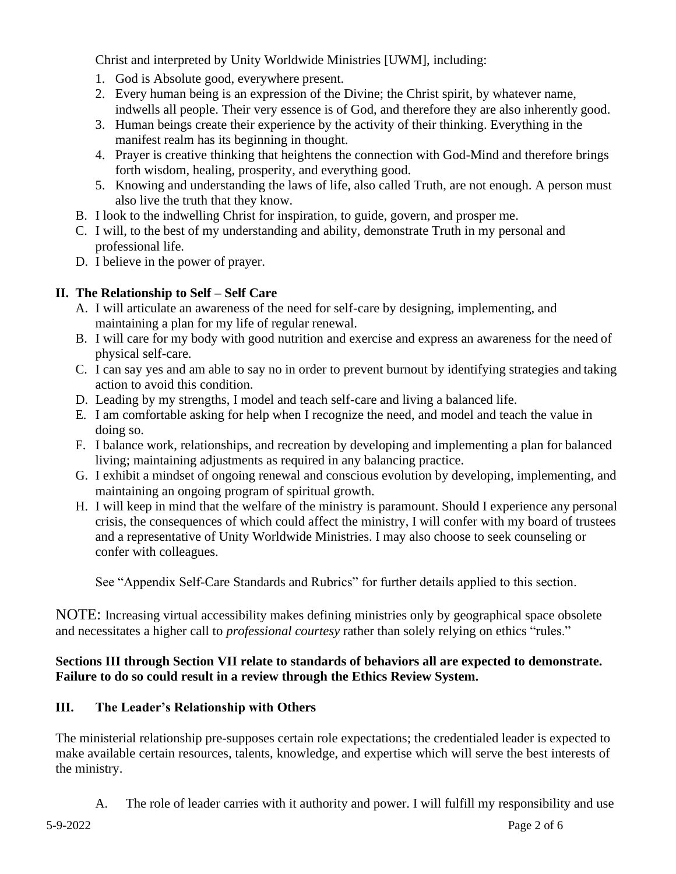Christ and interpreted by Unity Worldwide Ministries [UWM], including:

- 1. God is Absolute good, everywhere present.
- 2. Every human being is an expression of the Divine; the Christ spirit, by whatever name, indwells all people. Their very essence is of God, and therefore they are also inherently good.
- 3. Human beings create their experience by the activity of their thinking. Everything in the manifest realm has its beginning in thought.
- 4. Prayer is creative thinking that heightens the connection with God-Mind and therefore brings forth wisdom, healing, prosperity, and everything good.
- 5. Knowing and understanding the laws of life, also called Truth, are not enough. A person must also live the truth that they know.
- B. I look to the indwelling Christ for inspiration, to guide, govern, and prosper me.
- C. I will, to the best of my understanding and ability, demonstrate Truth in my personal and professional life.
- D. I believe in the power of prayer.

## **II. The Relationship to Self – Self Care**

- A. I will articulate an awareness of the need for self-care by designing, implementing, and maintaining a plan for my life of regular renewal.
- B. I will care for my body with good nutrition and exercise and express an awareness for the need of physical self-care.
- C. I can say yes and am able to say no in order to prevent burnout by identifying strategies and taking action to avoid this condition.
- D. Leading by my strengths, I model and teach self-care and living a balanced life.
- E. I am comfortable asking for help when I recognize the need, and model and teach the value in doing so.
- F. I balance work, relationships, and recreation by developing and implementing a plan for balanced living; maintaining adjustments as required in any balancing practice.
- G. I exhibit a mindset of ongoing renewal and conscious evolution by developing, implementing, and maintaining an ongoing program of spiritual growth.
- H. I will keep in mind that the welfare of the ministry is paramount. Should I experience any personal crisis, the consequences of which could affect the ministry, I will confer with my board of trustees and a representative of Unity Worldwide Ministries. I may also choose to seek counseling or confer with colleagues.

See "Appendix Self-Care Standards and Rubrics" for further details applied to this section.

NOTE: Increasing virtual accessibility makes defining ministries only by geographical space obsolete and necessitates a higher call to *professional courtesy* rather than solely relying on ethics "rules."

## **Sections III through Section VII relate to standards of behaviors all are expected to demonstrate. Failure to do so could result in a review through the Ethics Review System.**

# **III. The Leader's Relationship with Others**

The ministerial relationship pre-supposes certain role expectations; the credentialed leader is expected to make available certain resources, talents, knowledge, and expertise which will serve the best interests of the ministry.

A. The role of leader carries with it authority and power. I will fulfill my responsibility and use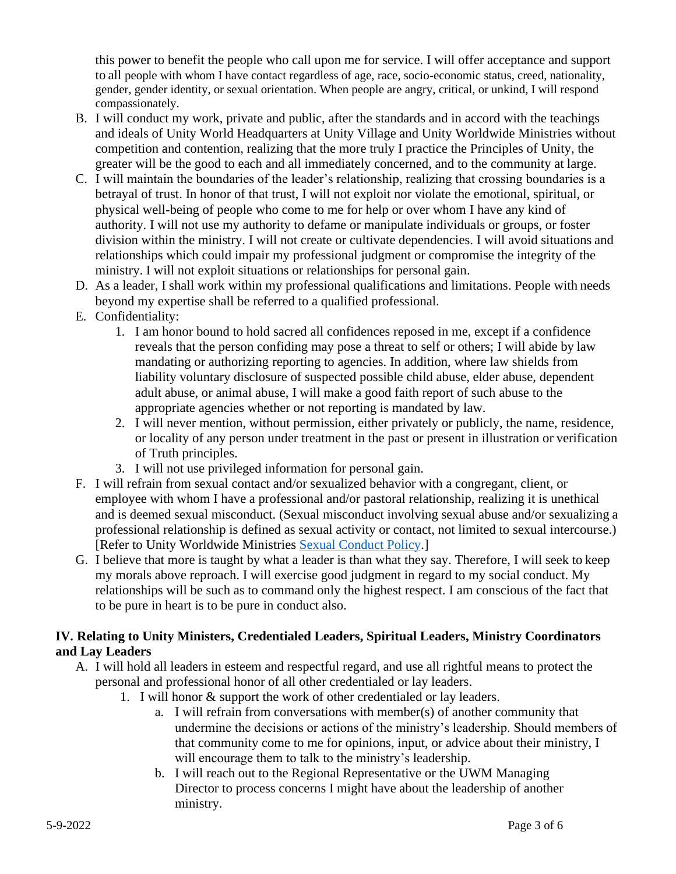this power to benefit the people who call upon me for service. I will offer acceptance and support to all people with whom I have contact regardless of age, race, socio-economic status, creed, nationality, gender, gender identity, or sexual orientation. When people are angry, critical, or unkind, I will respond compassionately.

- B. I will conduct my work, private and public, after the standards and in accord with the teachings and ideals of Unity World Headquarters at Unity Village and Unity Worldwide Ministries without competition and contention, realizing that the more truly I practice the Principles of Unity, the greater will be the good to each and all immediately concerned, and to the community at large.
- C. I will maintain the boundaries of the leader's relationship, realizing that crossing boundaries is a betrayal of trust. In honor of that trust, I will not exploit nor violate the emotional, spiritual, or physical well-being of people who come to me for help or over whom I have any kind of authority. I will not use my authority to defame or manipulate individuals or groups, or foster division within the ministry. I will not create or cultivate dependencies. I will avoid situations and relationships which could impair my professional judgment or compromise the integrity of the ministry. I will not exploit situations or relationships for personal gain.
- D. As a leader, I shall work within my professional qualifications and limitations. People with needs beyond my expertise shall be referred to a qualified professional.
- E. Confidentiality:
	- 1. I am honor bound to hold sacred all confidences reposed in me, except if a confidence reveals that the person confiding may pose a threat to self or others; I will abide by law mandating or authorizing reporting to agencies. In addition, where law shields from liability voluntary disclosure of suspected possible child abuse, elder abuse, dependent adult abuse, or animal abuse, I will make a good faith report of such abuse to the appropriate agencies whether or not reporting is mandated by law.
	- 2. I will never mention, without permission, either privately or publicly, the name, residence, or locality of any person under treatment in the past or present in illustration or verification of Truth principles.
	- 3. I will not use privileged information for personal gain.
- F. I will refrain from sexual contact and/or sexualized behavior with a congregant, client, or employee with whom I have a professional and/or pastoral relationship, realizing it is unethical and is deemed sexual misconduct. (Sexual misconduct involving sexual abuse and/or sexualizing a professional relationship is defined as sexual activity or contact, not limited to sexual intercourse.) [Refer to Unity Worldwide Ministries [Sexual Conduct Policy.](https://www.unityworldwideministries.org/sexual-conduct-policy)]
- G. I believe that more is taught by what a leader is than what they say. Therefore, I will seek to keep my morals above reproach. I will exercise good judgment in regard to my social conduct. My relationships will be such as to command only the highest respect. I am conscious of the fact that to be pure in heart is to be pure in conduct also.

#### **IV. Relating to Unity Ministers, Credentialed Leaders, Spiritual Leaders, Ministry Coordinators and Lay Leaders**

- A. I will hold all leaders in esteem and respectful regard, and use all rightful means to protect the personal and professional honor of all other credentialed or lay leaders.
	- 1. I will honor & support the work of other credentialed or lay leaders.
		- a. I will refrain from conversations with member(s) of another community that undermine the decisions or actions of the ministry's leadership. Should members of that community come to me for opinions, input, or advice about their ministry, I will encourage them to talk to the ministry's leadership.
		- b. I will reach out to the Regional Representative or the UWM Managing Director to process concerns I might have about the leadership of another ministry.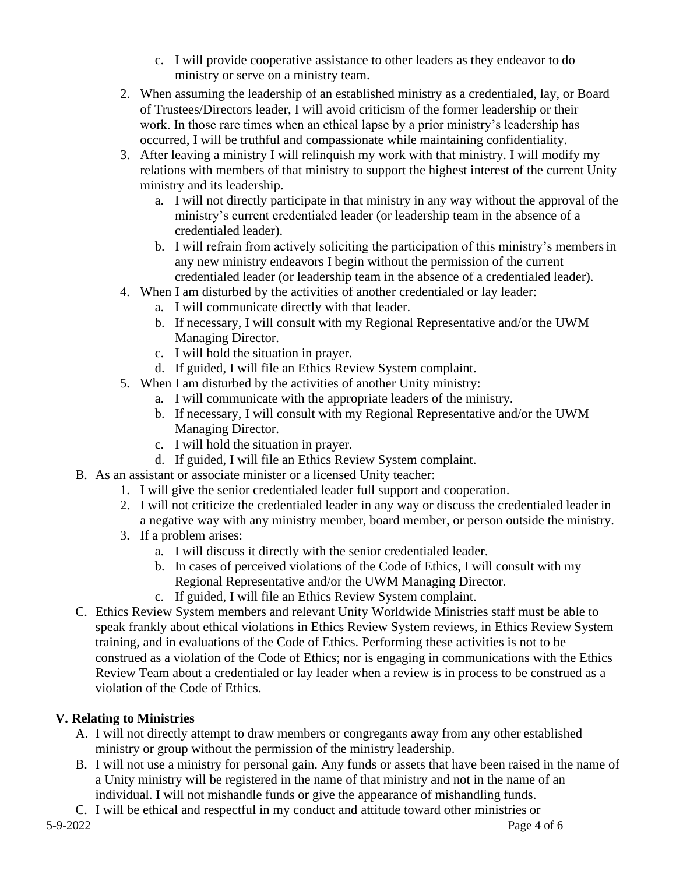- c. I will provide cooperative assistance to other leaders as they endeavor to do ministry or serve on a ministry team.
- 2. When assuming the leadership of an established ministry as a credentialed, lay, or Board of Trustees/Directors leader, I will avoid criticism of the former leadership or their work. In those rare times when an ethical lapse by a prior ministry's leadership has occurred, I will be truthful and compassionate while maintaining confidentiality.
- 3. After leaving a ministry I will relinquish my work with that ministry. I will modify my relations with members of that ministry to support the highest interest of the current Unity ministry and its leadership.
	- a. I will not directly participate in that ministry in any way without the approval of the ministry's current credentialed leader (or leadership team in the absence of a credentialed leader).
	- b. I will refrain from actively soliciting the participation of this ministry's membersin any new ministry endeavors I begin without the permission of the current credentialed leader (or leadership team in the absence of a credentialed leader).
- 4. When I am disturbed by the activities of another credentialed or lay leader:
	- a. I will communicate directly with that leader.
	- b. If necessary, I will consult with my Regional Representative and/or the UWM Managing Director.
	- c. I will hold the situation in prayer.
	- d. If guided, I will file an Ethics Review System complaint.
- 5. When I am disturbed by the activities of another Unity ministry:
	- a. I will communicate with the appropriate leaders of the ministry.
	- b. If necessary, I will consult with my Regional Representative and/or the UWM Managing Director.
	- c. I will hold the situation in prayer.
	- d. If guided, I will file an Ethics Review System complaint.
- B. As an assistant or associate minister or a licensed Unity teacher:
	- 1. I will give the senior credentialed leader full support and cooperation.
	- 2. I will not criticize the credentialed leader in any way or discuss the credentialed leader in a negative way with any ministry member, board member, or person outside the ministry.
	- 3. If a problem arises:
		- a. I will discuss it directly with the senior credentialed leader.
		- b. In cases of perceived violations of the Code of Ethics, I will consult with my Regional Representative and/or the UWM Managing Director.
		- c. If guided, I will file an Ethics Review System complaint.
- C. Ethics Review System members and relevant Unity Worldwide Ministries staff must be able to speak frankly about ethical violations in Ethics Review System reviews, in Ethics Review System training, and in evaluations of the Code of Ethics. Performing these activities is not to be construed as a violation of the Code of Ethics; nor is engaging in communications with the Ethics Review Team about a credentialed or lay leader when a review is in process to be construed as a violation of the Code of Ethics.

# **V. Relating to Ministries**

- A. I will not directly attempt to draw members or congregants away from any other established ministry or group without the permission of the ministry leadership.
- B. I will not use a ministry for personal gain. Any funds or assets that have been raised in the name of a Unity ministry will be registered in the name of that ministry and not in the name of an individual. I will not mishandle funds or give the appearance of mishandling funds.

5-9-2022 Page 4 of 6 C. I will be ethical and respectful in my conduct and attitude toward other ministries or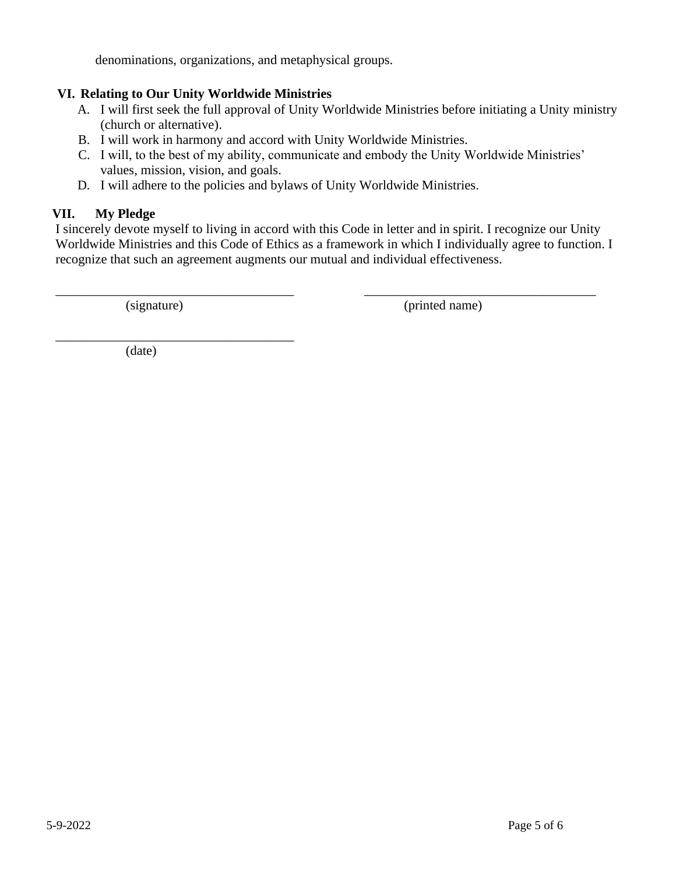denominations, organizations, and metaphysical groups.

### **VI. Relating to Our Unity Worldwide Ministries**

- A. I will first seek the full approval of Unity Worldwide Ministries before initiating a Unity ministry (church or alternative).
- B. I will work in harmony and accord with Unity Worldwide Ministries.
- C. I will, to the best of my ability, communicate and embody the Unity Worldwide Ministries' values, mission, vision, and goals.
- D. I will adhere to the policies and bylaws of Unity Worldwide Ministries.

## **VII. My Pledge**

I sincerely devote myself to living in accord with this Code in letter and in spirit. I recognize our Unity Worldwide Ministries and this Code of Ethics as a framework in which I individually agree to function. I recognize that such an agreement augments our mutual and individual effectiveness.

\_\_\_\_\_\_\_\_\_\_\_\_\_\_\_\_\_\_\_\_\_\_\_\_\_\_\_\_\_\_\_\_\_\_\_\_ \_\_\_\_\_\_\_\_\_\_\_\_\_\_\_\_\_\_\_\_\_\_\_\_\_\_\_\_\_\_\_\_\_\_\_

\_\_\_\_\_\_\_\_\_\_\_\_\_\_\_\_\_\_\_\_\_\_\_\_\_\_\_\_\_\_\_\_\_\_\_\_

(signature) (printed name)

(date)